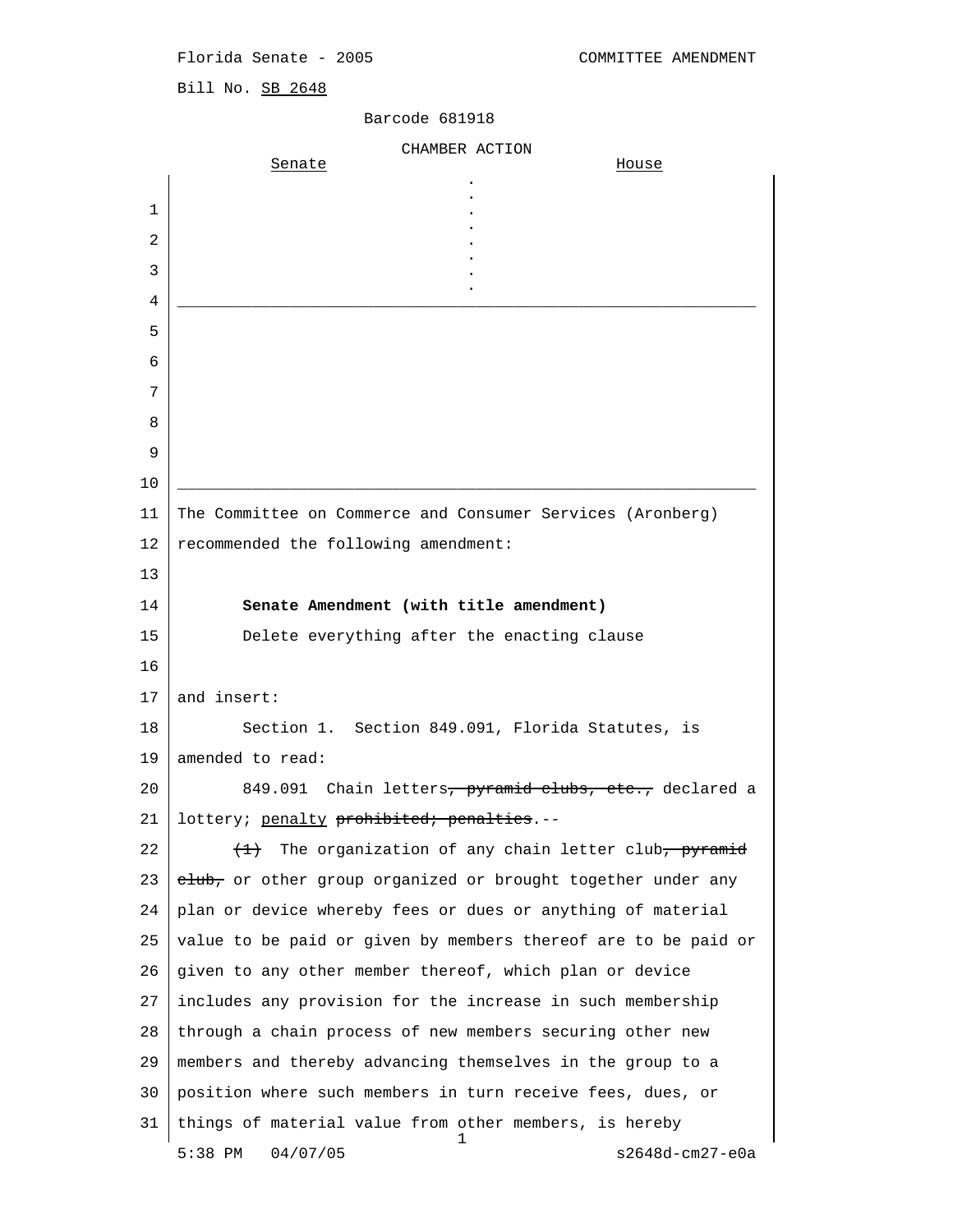Florida Senate - 2005 COMMITTEE AMENDMENT

Bill No. SB 2648

|    | CHAMBER ACTION                                                       |
|----|----------------------------------------------------------------------|
|    | Senate<br><u>House</u>                                               |
| 1  |                                                                      |
| 2  |                                                                      |
| 3  |                                                                      |
| 4  |                                                                      |
| 5  |                                                                      |
| 6  |                                                                      |
| 7  |                                                                      |
| 8  |                                                                      |
| 9  |                                                                      |
| 10 |                                                                      |
| 11 | The Committee on Commerce and Consumer Services (Aronberg)           |
| 12 | recommended the following amendment:                                 |
| 13 |                                                                      |
| 14 | Senate Amendment (with title amendment)                              |
| 15 | Delete everything after the enacting clause                          |
| 16 |                                                                      |
| 17 | and insert:                                                          |
| 18 | Section 1. Section 849.091, Florida Statutes, is                     |
| 19 | amended to read:                                                     |
| 20 | Chain letters, pyramid clubs, etc., declared a<br>849.091            |
| 21 | lottery; <u>penalty</u> <del>prohibited; penalties</del> .--         |
| 22 | The organization of any chain letter club, pyramid<br>$\overline{+}$ |
| 23 | club, or other group organized or brought together under any         |
| 24 | plan or device whereby fees or dues or anything of material          |
| 25 | value to be paid or given by members thereof are to be paid or       |
| 26 | given to any other member thereof, which plan or device              |
| 27 | includes any provision for the increase in such membership           |
| 28 | through a chain process of new members securing other new            |
| 29 | members and thereby advancing themselves in the group to a           |
| 30 | position where such members in turn receive fees, dues, or           |
| 31 | things of material value from other members, is hereby               |
|    | 1<br>04/07/05<br>5:38 PM<br>s2648d-cm27-e0a                          |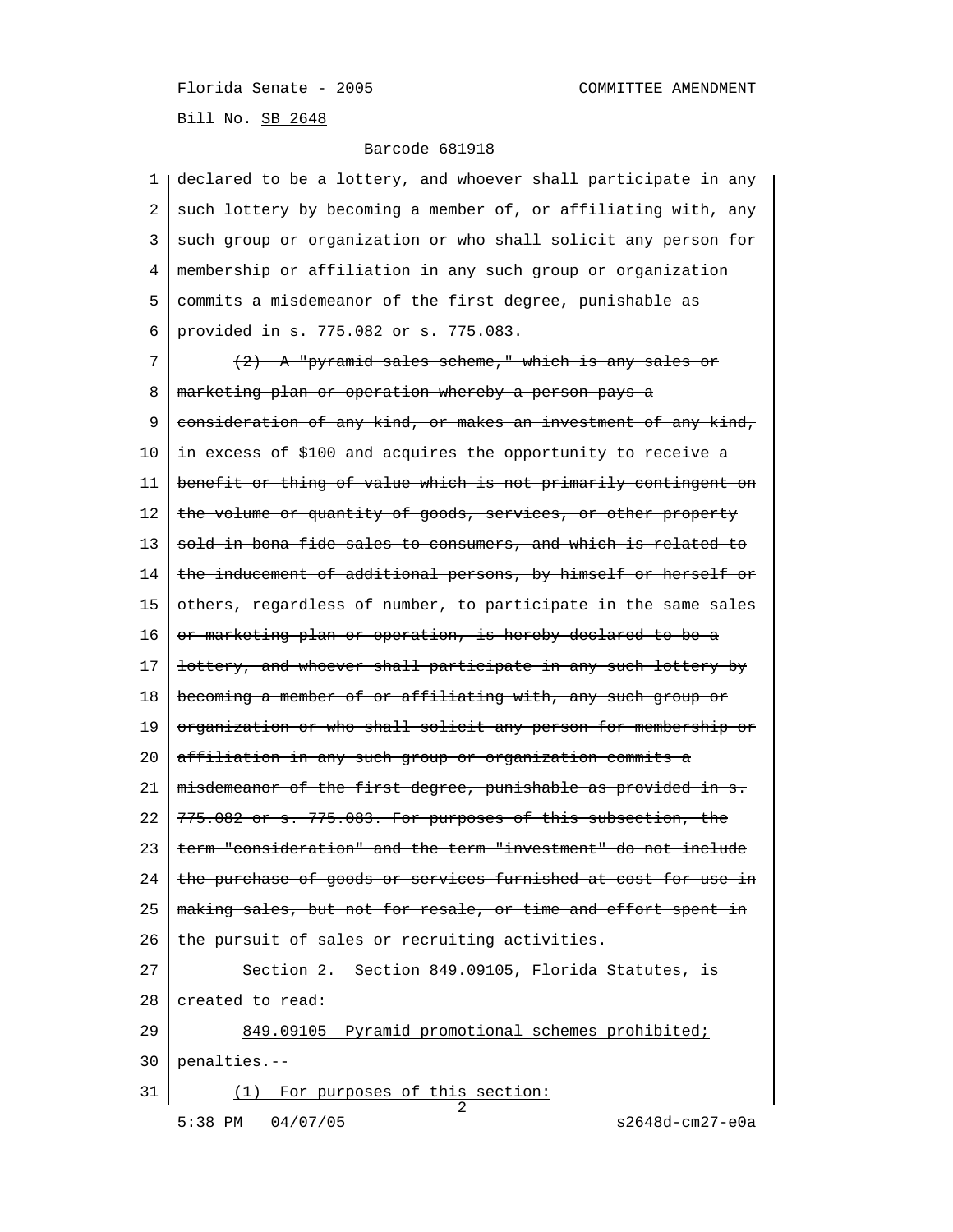Florida Senate - 2005 COMMITTEE AMENDMENT Bill No. SB 2648

| ı. | declared to be a lottery, and whoever shall participate in any           |
|----|--------------------------------------------------------------------------|
| 2  | such lottery by becoming a member of, or affiliating with, any           |
| 3  | such group or organization or who shall solicit any person for           |
| 4  | membership or affiliation in any such group or organization              |
| 5  | commits a misdemeanor of the first degree, punishable as                 |
| 6  | provided in s. 775.082 or s. 775.083.                                    |
| 7  | <del>(2) A "pyramid sales scheme," which is any sales or</del>           |
| 8  | <u>marketing plan or operation whereby a person pays a</u>               |
| 9  | consideration of any kind, or makes an investment of any kind,           |
| 10 | in excess of \$100 and acquires the opportunity to receive a             |
| 11 | benefit or thing of value which is not primarily contingent on           |
| 12 | the volume or quantity of goods, services, or other property             |
| 13 | <del>sold in bona fide sales to consumers, and which is related to</del> |
| 14 | the inducement of additional persons, by himself or herself or           |
| 15 | others, regardless of number, to participate in the same sales           |
| 16 | <u>or marketing plan or operation, is hereby declared to be a</u>        |
| 17 | <del>lottery, and whoever shall participate in any such lottery by</del> |
| 18 | <del>becoming a member of or affiliating with, any such group or</del>   |
| 19 | <u>organization or who shall solicit any person for membership or</u>    |
| 20 | <del>affiliation in any such group or organization commits a</del>       |
| 21 | <u>misdemeanor of the first degree, punishable as provided in s.</u>     |
| 22 | <del>775.082 or s. 775.083. For purposes of this subsection, the</del>   |
| 23 | term "consideration" and the term "investment" do not include            |
| 24 | the purchase of goods or services furnished at cost for use in           |
| 25 | making sales, but not for resale, or time and effort spent in            |
| 26 | the pursuit of sales or recruiting activities.                           |
| 27 | Section 2. Section 849.09105, Florida Statutes, is                       |
| 28 | created to read:                                                         |
| 29 | 849.09105 Pyramid promotional schemes prohibited;                        |
| 30 | penalties.--                                                             |
| 31 | (1) For purposes of this section:<br>2                                   |
|    | 5:38 PM 04/07/05<br>s2648d-cm27-e0a                                      |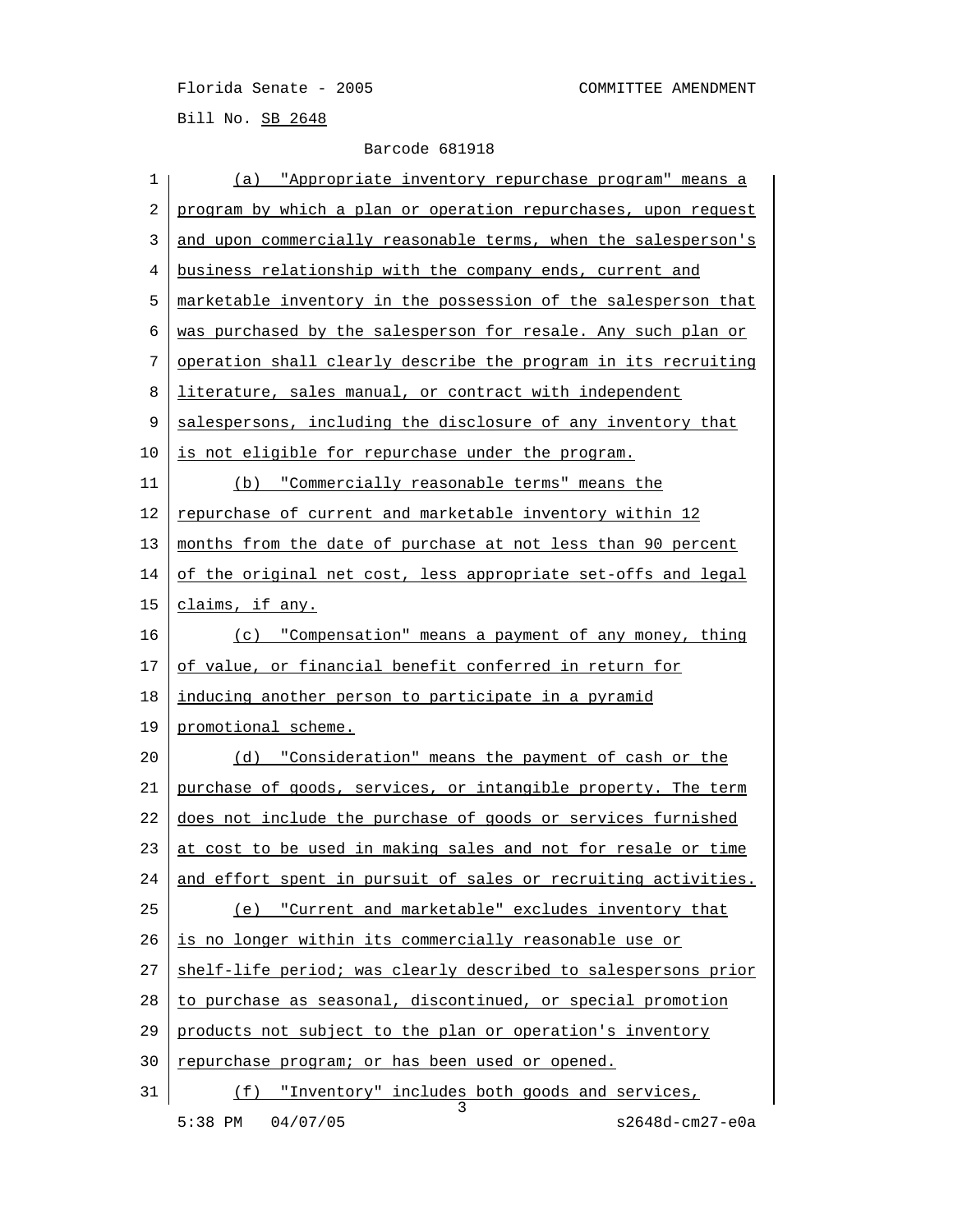Florida Senate - 2005 COMMITTEE AMENDMENT Bill No. SB 2648

| 1  | <u>(a) "Appropriate inventory repurchase program" means a</u>  |
|----|----------------------------------------------------------------|
| 2  | program by which a plan or operation repurchases, upon request |
| 3  | and upon commercially reasonable terms, when the salesperson's |
| 4  | business relationship with the company ends, current and       |
| 5  | marketable inventory in the possession of the salesperson that |
| 6  | was purchased by the salesperson for resale. Any such plan or  |
| 7  | operation shall clearly describe the program in its recruiting |
| 8  | literature, sales manual, or contract with independent         |
| 9  | salespersons, including the disclosure of any inventory that   |
| 10 | is not eligible for repurchase under the program.              |
| 11 | "Commercially reasonable terms" means the<br>(b)               |
| 12 | repurchase of current and marketable inventory within 12       |
| 13 | months from the date of purchase at not less than 90 percent   |
| 14 | of the original net cost, less appropriate set-offs and legal  |
| 15 | claims, if any.                                                |
| 16 | (c) "Compensation" means a payment of any money, thing         |
| 17 | of value, or financial benefit conferred in return for         |
| 18 | inducing another person to participate in a pyramid            |
| 19 | promotional scheme.                                            |
| 20 | (d) "Consideration" means the payment of cash or the           |
| 21 | purchase of goods, services, or intangible property. The term  |
| 22 | does not include the purchase of goods or services furnished   |
| 23 | at cost to be used in making sales and not for resale or time  |
| 24 | and effort spent in pursuit of sales or recruiting activities. |
| 25 | (e) "Current and marketable" excludes inventory that           |
| 26 | is no longer within its commercially reasonable use or         |
| 27 | shelf-life period; was clearly described to salespersons prior |
| 28 | to purchase as seasonal, discontinued, or special promotion    |
| 29 | products not subject to the plan or operation's inventory      |
| 30 | repurchase program; or has been used or opened.                |
| 31 | (f) "Inventory" includes both goods and services,              |
|    | 5:38 PM<br>04/07/05<br>s2648d-cm27-e0a                         |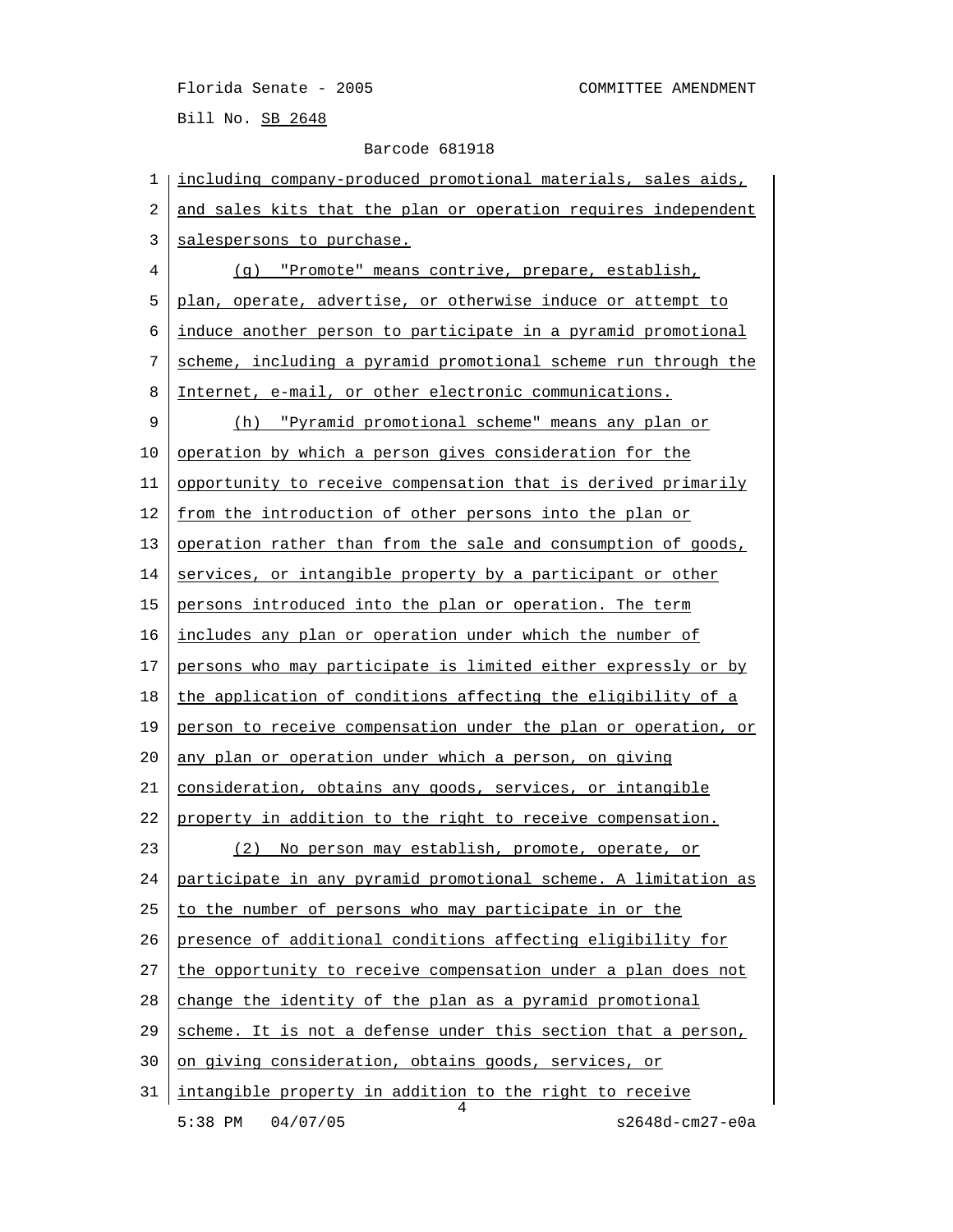Florida Senate - 2005 COMMITTEE AMENDMENT

Bill No. SB 2648

## Barcode 681918

 1 including company-produced promotional materials, sales aids, 2 and sales kits that the plan or operation requires independent 3 salespersons to purchase. 4 (g) "Promote" means contrive, prepare, establish, 5 plan, operate, advertise, or otherwise induce or attempt to 6 induce another person to participate in a pyramid promotional 7 scheme, including a pyramid promotional scheme run through the 8 Internet, e-mail, or other electronic communications. 9 (h) "Pyramid promotional scheme" means any plan or 10 operation by which a person gives consideration for the 11 | opportunity to receive compensation that is derived primarily 12 <u>from the introduction of other persons into the plan or</u> 13 operation rather than from the sale and consumption of goods, 14 services, or intangible property by a participant or other 15 persons introduced into the plan or operation. The term 16 includes any plan or operation under which the number of 17 persons who may participate is limited either expressly or by  $18$  the application of conditions affecting the eligibility of a 19 person to receive compensation under the plan or operation, or 20 any plan or operation under which a person, on giving 21 consideration, obtains any goods, services, or intangible 22 property in addition to the right to receive compensation. 23 (2) No person may establish, promote, operate, or 24 participate in any pyramid promotional scheme. A limitation as 25 to the number of persons who may participate in or the 26 presence of additional conditions affecting eligibility for 27 the opportunity to receive compensation under a plan does not 28 change the identity of the plan as a pyramid promotional 29 scheme. It is not a defense under this section that a person, 30 on giving consideration, obtains goods, services, or 31 intangible property in addition to the right to receive 4 5:38 PM 04/07/05 s2648d-cm27-e0a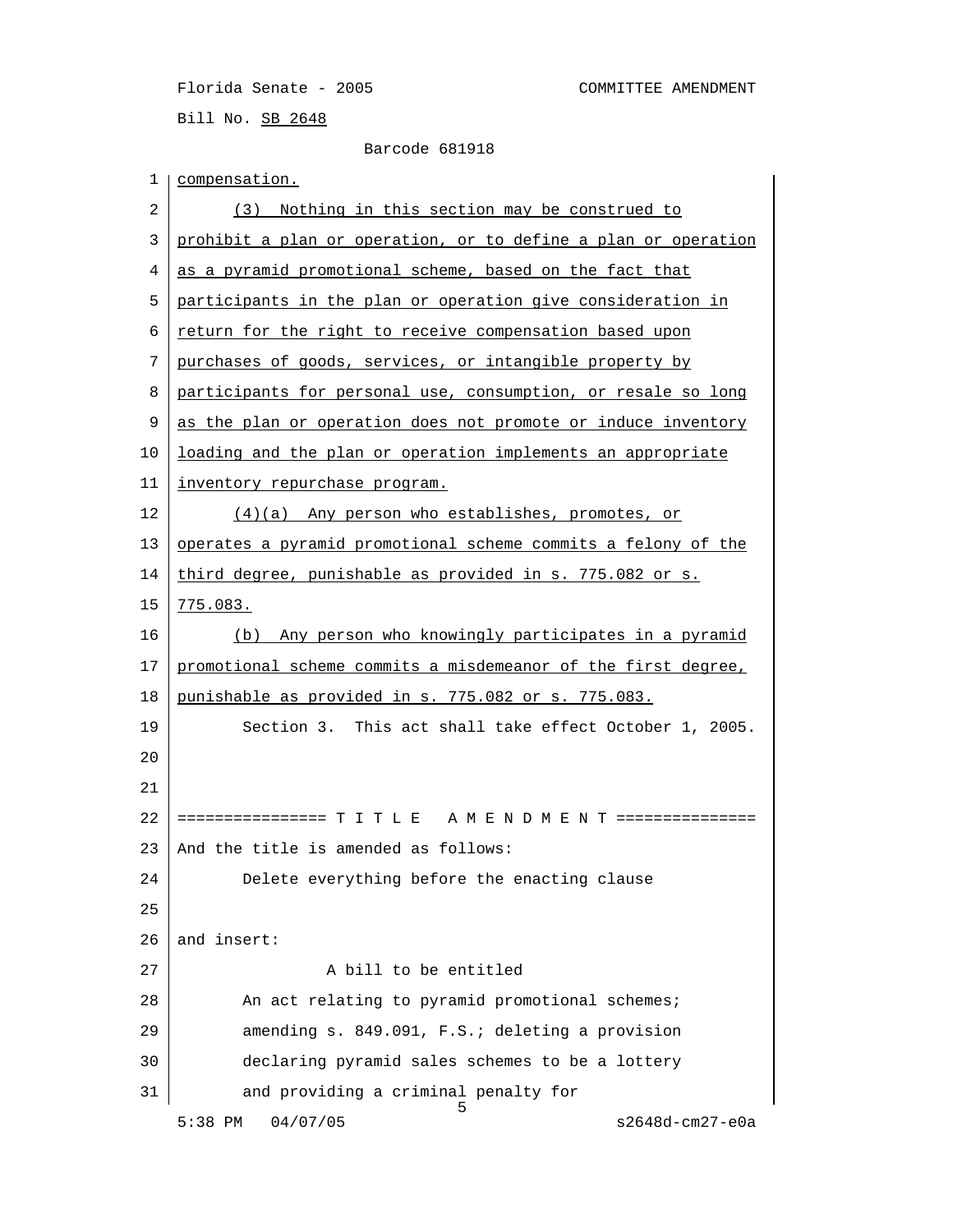Florida Senate - 2005 COMMITTEE AMENDMENT Bill No. SB 2648

```
 Barcode 681918
```

| 1  | compensation.                                                  |
|----|----------------------------------------------------------------|
| 2  | (3) Nothing in this section may be construed to                |
| 3  | prohibit a plan or operation, or to define a plan or operation |
| 4  | as a pyramid promotional scheme, based on the fact that        |
| 5  | participants in the plan or operation give consideration in    |
| 6  | return for the right to receive compensation based upon        |
| 7  | purchases of goods, services, or intangible property by        |
| 8  | participants for personal use, consumption, or resale so long  |
| 9  | as the plan or operation does not promote or induce inventory  |
| 10 | loading and the plan or operation implements an appropriate    |
| 11 | inventory repurchase program.                                  |
| 12 | (4)(a) Any person who establishes, promotes, or                |
| 13 | operates a pyramid promotional scheme commits a felony of the  |
| 14 | third degree, punishable as provided in s. 775.082 or s.       |
| 15 | 775.083.                                                       |
| 16 | (b) Any person who knowingly participates in a pyramid         |
| 17 | promotional scheme commits a misdemeanor of the first degree,  |
| 18 | punishable as provided in s. 775.082 or s. 775.083.            |
| 19 | Section 3. This act shall take effect October 1, 2005.         |
| 20 |                                                                |
| 21 |                                                                |
| 22 | ================ T I T L E A M E N D M E N T ===============   |
| 23 | And the title is amended as follows:                           |
| 24 | Delete everything before the enacting clause                   |
| 25 |                                                                |
| 26 | and insert:                                                    |
| 27 | A bill to be entitled                                          |
| 28 | An act relating to pyramid promotional schemes;                |
| 29 | amending s. 849.091, F.S.; deleting a provision                |
| 30 | declaring pyramid sales schemes to be a lottery                |
| 31 | and providing a criminal penalty for                           |
|    | 5<br>04/07/05<br>$s2648d$ -cm $27 - e0a$<br>$5:38$ PM          |